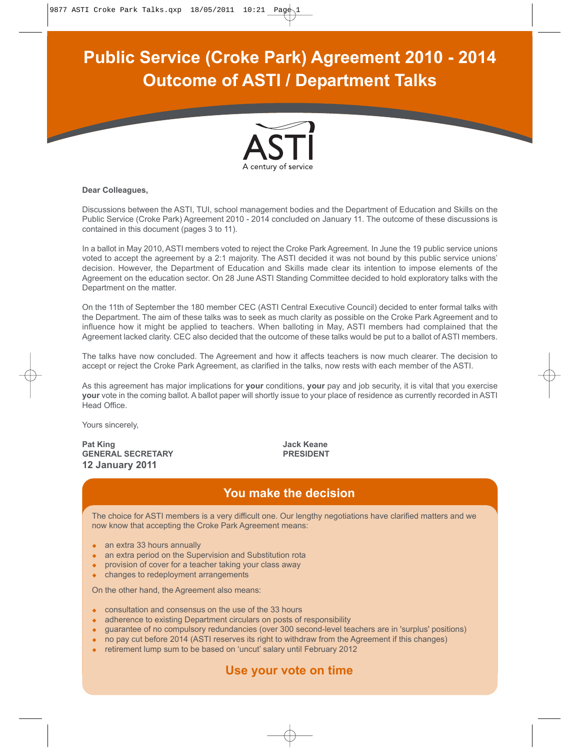# **Public Service (Croke Park) Agreement 2010 - 2014 Outcome of ASTI / Department Talks**



#### **Dear Colleagues,**

Discussions between the ASTI, TUI, school management bodies and the Department of Education and Skills on the Public Service (Croke Park) Agreement 2010 - 2014 concluded on January 11. The outcome of these discussions is contained in this document (pages 3 to 11).

In a ballot in May 2010, ASTI members voted to reject the Croke Park Agreement. In June the 19 public service unions voted to accept the agreement by a 2:1 majority. The ASTI decided it was not bound by this public service unions' decision. However, the Department of Education and Skills made clear its intention to impose elements of the Agreement on the education sector. On 28 June ASTI Standing Committee decided to hold exploratory talks with the Department on the matter.

On the 11th of September the 180 member CEC (ASTI Central Executive Council) decided to enter formal talks with the Department. The aim of these talks was to seek as much clarity as possible on the Croke Park Agreement and to influence how it might be applied to teachers. When balloting in May, ASTI members had complained that the Agreement lacked clarity. CEC also decided that the outcome of these talks would be put to a ballot of ASTI members.

The talks have now concluded. The Agreement and how it affects teachers is now much clearer. The decision to accept or reject the Croke Park Agreement, as clarified in the talks, now rests with each member of the ASTI.

As this agreement has major implications for **your** conditions, **your** pay and job security, it is vital that you exercise **your** vote in the coming ballot. A ballot paper will shortly issue to your place of residence as currently recorded in ASTI Head Office.

Yours sincerely,

Pat King **Pat King Ack Keane** GENERAL SECRETARY **PRESIDENT 12 January 2011**

# **You make the decision**

The choice for ASTI members is a very difficult one. Our lengthy negotiations have clarified matters and we now know that accepting the Croke Park Agreement means:

- an extra 33 hours annually
- an extra period on the Supervision and Substitution rota
- provision of cover for a teacher taking your class away
- changes to redeployment arrangements

On the other hand, the Agreement also means:

- consultation and consensus on the use of the 33 hours
- adherence to existing Department circulars on posts of responsibility
- guarantee of no compulsory redundancies (over 300 second-level teachers are in 'surplus' positions)
- no pay cut before 2014 (ASTI reserves its right to withdraw from the Agreement if this changes)
- retirement lump sum to be based on 'uncut' salary until February 2012

# **Use your vote on time**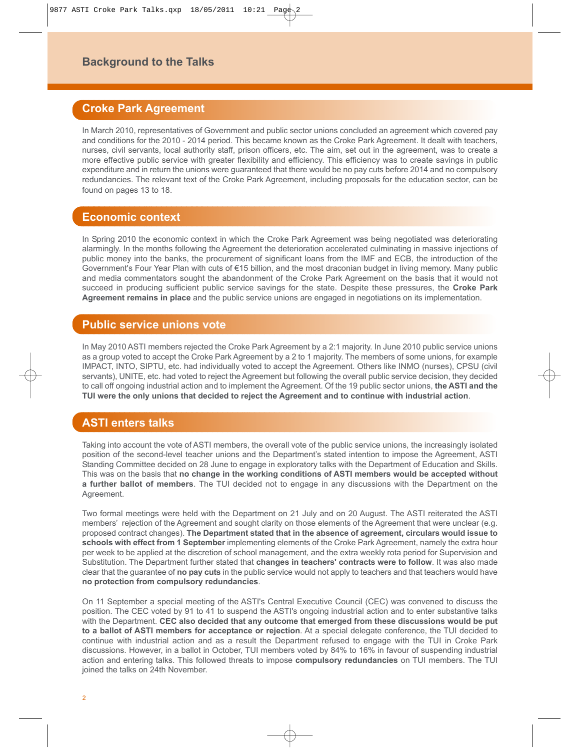# **Background to the Talks**

# **Croke Park Agreement**

In March 2010, representatives of Government and public sector unions concluded an agreement which covered pay and conditions for the 2010 - 2014 period. This became known as the Croke Park Agreement. It dealt with teachers, nurses, civil servants, local authority staff, prison officers, etc. The aim, set out in the agreement, was to create a more effective public service with greater flexibility and efficiency. This efficiency was to create savings in public expenditure and in return the unions were guaranteed that there would be no pay cuts before 2014 and no compulsory redundancies. The relevant text of the Croke Park Agreement, including proposals for the education sector, can be found on pages 13 to 18.

# **Economic context**

In Spring 2010 the economic context in which the Croke Park Agreement was being negotiated was deteriorating alarmingly. In the months following the Agreement the deterioration accelerated culminating in massive injections of public money into the banks, the procurement of significant loans from the IMF and ECB, the introduction of the Government's Four Year Plan with cuts of €15 billion, and the most draconian budget in living memory. Many public and media commentators sought the abandonment of the Croke Park Agreement on the basis that it would not succeed in producing sufficient public service savings for the state. Despite these pressures, the **Croke Park Agreement remains in place** and the public service unions are engaged in negotiations on its implementation.

# **Public service unions vote**

In May 2010 ASTI members rejected the Croke Park Agreement by a 2:1 majority. In June 2010 public service unions as a group voted to accept the Croke Park Agreement by a 2 to 1 majority. The members of some unions, for example IMPACT, INTO, SIPTU, etc. had individually voted to accept the Agreement. Others like INMO (nurses), CPSU (civil servants), UNITE, etc. had voted to reject the Agreement but following the overall public service decision, they decided to call off ongoing industrial action and to implement the Agreement. Of the 19 public sector unions, **the ASTI and the TUI were the only unions that decided to reject the Agreement and to continue with industrial action**.

# **ASTI enters talks**

Taking into account the vote of ASTI members, the overall vote of the public service unions, the increasingly isolated position of the second-level teacher unions and the Department's stated intention to impose the Agreement, ASTI Standing Committee decided on 28 June to engage in exploratory talks with the Department of Education and Skills. This was on the basis that **no change in the working conditions of ASTI members would be accepted without a further ballot of members**. The TUI decided not to engage in any discussions with the Department on the Agreement.

Two formal meetings were held with the Department on 21 July and on 20 August. The ASTI reiterated the ASTI members' rejection of the Agreement and sought clarity on those elements of the Agreement that were unclear (e.g. proposed contract changes). **The Department stated that in the absence of agreement, circulars would issue to schools with effect from 1 September** implementing elements of the Croke Park Agreement, namely the extra hour per week to be applied at the discretion of school management, and the extra weekly rota period for Supervision and Substitution. The Department further stated that **changes in teachers' contracts were to follow**. It was also made clear that the guarantee of **no pay cuts** in the public service would not apply to teachers and that teachers would have **no protection from compulsory redundancies**.

On 11 September a special meeting of the ASTI's Central Executive Council (CEC) was convened to discuss the position. The CEC voted by 91 to 41 to suspend the ASTI's ongoing industrial action and to enter substantive talks with the Department. **CEC also decided that any outcome that emerged from these discussions would be put to a ballot of ASTI members for acceptance or rejection**. At a special delegate conference, the TUI decided to continue with industrial action and as a result the Department refused to engage with the TUI in Croke Park discussions. However, in a ballot in October, TUI members voted by 84% to 16% in favour of suspending industrial action and entering talks. This followed threats to impose **compulsory redundancies** on TUI members. The TUI joined the talks on 24th November.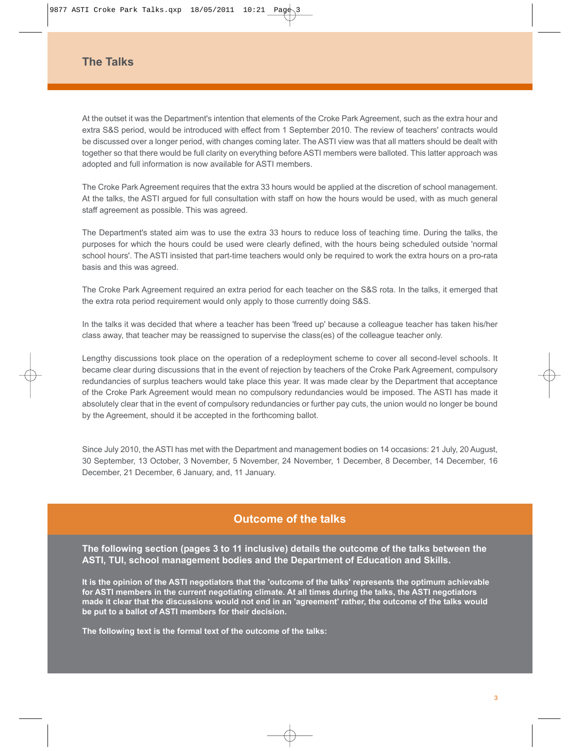# **The Talks**

At the outset it was the Department's intention that elements of the Croke Park Agreement, such as the extra hour and extra S&S period, would be introduced with effect from 1 September 2010. The review of teachers' contracts would be discussed over a longer period, with changes coming later. The ASTI view was that all matters should be dealt with together so that there would be full clarity on everything before ASTI members were balloted. This latter approach was adopted and full information is now available for ASTI members.

The Croke Park Agreement requires that the extra 33 hours would be applied at the discretion of school management. At the talks, the ASTI argued for full consultation with staff on how the hours would be used, with as much general staff agreement as possible. This was agreed.

The Department's stated aim was to use the extra 33 hours to reduce loss of teaching time. During the talks, the purposes for which the hours could be used were clearly defined, with the hours being scheduled outside 'normal school hours'. The ASTI insisted that part-time teachers would only be required to work the extra hours on a pro-rata basis and this was agreed.

The Croke Park Agreement required an extra period for each teacher on the S&S rota. In the talks, it emerged that the extra rota period requirement would only apply to those currently doing S&S.

In the talks it was decided that where a teacher has been 'freed up' because a colleague teacher has taken his/her class away, that teacher may be reassigned to supervise the class(es) of the colleague teacher only.

Lengthy discussions took place on the operation of a redeployment scheme to cover all second-level schools. It became clear during discussions that in the event of rejection by teachers of the Croke Park Agreement, compulsory redundancies of surplus teachers would take place this year. It was made clear by the Department that acceptance of the Croke Park Agreement would mean no compulsory redundancies would be imposed. The ASTI has made it absolutely clear that in the event of compulsory redundancies or further pay cuts, the union would no longer be bound by the Agreement, should it be accepted in the forthcoming ballot.

Since July 2010, the ASTI has met with the Department and management bodies on 14 occasions: 21 July, 20 August, 30 September, 13 October, 3 November, 5 November, 24 November, 1 December, 8 December, 14 December, 16 December, 21 December, 6 January, and, 11 January.

### **Outcome of the talks**

**The following section (pages 3 to 11 inclusive) details the outcome of the talks between the ASTI, TUI, school management bodies and the Department of Education and Skills.**

**It is the opinion of the ASTI negotiators that the 'outcome of the talks' represents the optimum achievable for ASTI members in the current negotiating climate. At all times during the talks, the ASTI negotiators made it clear that the discussions would not end in an 'agreement' rather, the outcome of the talks would be put to a ballot of ASTI members for their decision.** 

**The following text is the formal text of the outcome of the talks:**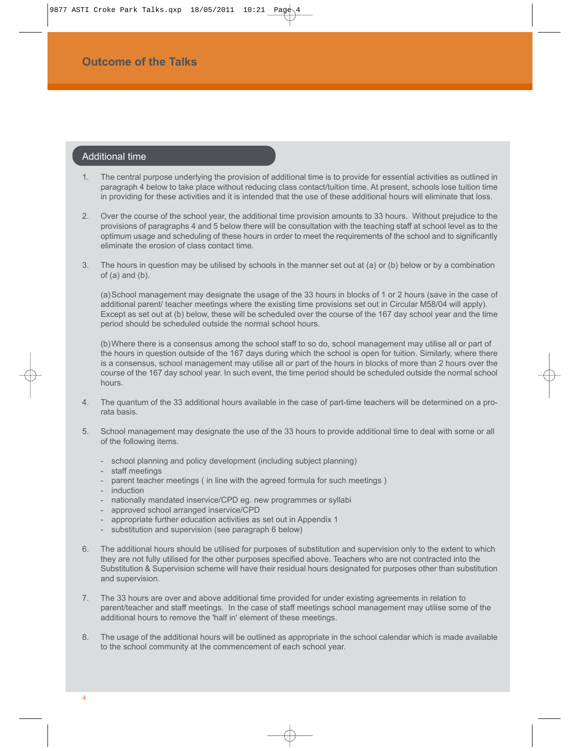### Additional time

- 1. The central purpose underlying the provision of additional time is to provide for essential activities as outlined in paragraph 4 below to take place without reducing class contact/tuition time. At present, schools lose tuition time in providing for these activities and it is intended that the use of these additional hours will eliminate that loss.
- 2. Over the course of the school year, the additional time provision amounts to 33 hours. Without prejudice to the provisions of paragraphs 4 and 5 below there will be consultation with the teaching staff at school level as to the optimum usage and scheduling of these hours in order to meet the requirements of the school and to significantly eliminate the erosion of class contact time.
- 3. The hours in question may be utilised by schools in the manner set out at (a) or (b) below or by a combination  $of (a)$  and  $(b)$ .

(a)School management may designate the usage of the 33 hours in blocks of 1 or 2 hours (save in the case of additional parent/ teacher meetings where the existing time provisions set out in Circular M58/04 will apply). Except as set out at (b) below, these will be scheduled over the course of the 167 day school year and the time period should be scheduled outside the normal school hours.

(b)Where there is a consensus among the school staff to so do, school management may utilise all or part of the hours in question outside of the 167 days during which the school is open for tuition. Similarly, where there is a consensus, school management may utilise all or part of the hours in blocks of more than 2 hours over the course of the 167 day school year. In such event, the time period should be scheduled outside the normal school hours.

- 4. The quantum of the 33 additional hours available in the case of part-time teachers will be determined on a prorata basis.
- 5. School management may designate the use of the 33 hours to provide additional time to deal with some or all of the following items.
	- school planning and policy development (including subject planning)
	- staff meetings
	- parent teacher meetings ( in line with the agreed formula for such meetings )
	- induction
	- nationally mandated inservice/CPD eg. new programmes or syllabi
	- approved school arranged inservice/CPD
	- appropriate further education activities as set out in Appendix 1
	- substitution and supervision (see paragraph 6 below)
- The additional hours should be utilised for purposes of substitution and supervision only to the extent to which they are not fully utilised for the other purposes specified above. Teachers who are not contracted into the Substitution & Supervision scheme will have their residual hours designated for purposes other than substitution and supervision.
- 7. The 33 hours are over and above additional time provided for under existing agreements in relation to parent/teacher and staff meetings. In the case of staff meetings school management may utilise some of the additional hours to remove the 'half in' element of these meetings.
- 8. The usage of the additional hours will be outlined as appropriate in the school calendar which is made available to the school community at the commencement of each school year.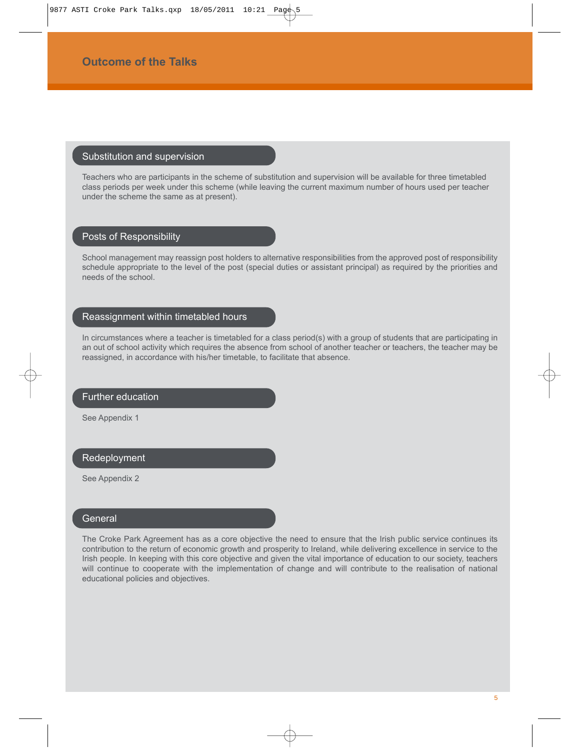#### Substitution and supervision

Teachers who are participants in the scheme of substitution and supervision will be available for three timetabled class periods per week under this scheme (while leaving the current maximum number of hours used per teacher under the scheme the same as at present).

### Posts of Responsibility

School management may reassign post holders to alternative responsibilities from the approved post of responsibility schedule appropriate to the level of the post (special duties or assistant principal) as required by the priorities and needs of the school.

#### Reassignment within timetabled hours

In circumstances where a teacher is timetabled for a class period(s) with a group of students that are participating in an out of school activity which requires the absence from school of another teacher or teachers, the teacher may be reassigned, in accordance with his/her timetable, to facilitate that absence.

#### Further education

See Appendix 1

#### Redeployment

See Appendix 2

### **General**

The Croke Park Agreement has as a core objective the need to ensure that the Irish public service continues its contribution to the return of economic growth and prosperity to Ireland, while delivering excellence in service to the Irish people. In keeping with this core objective and given the vital importance of education to our society, teachers will continue to cooperate with the implementation of change and will contribute to the realisation of national educational policies and objectives.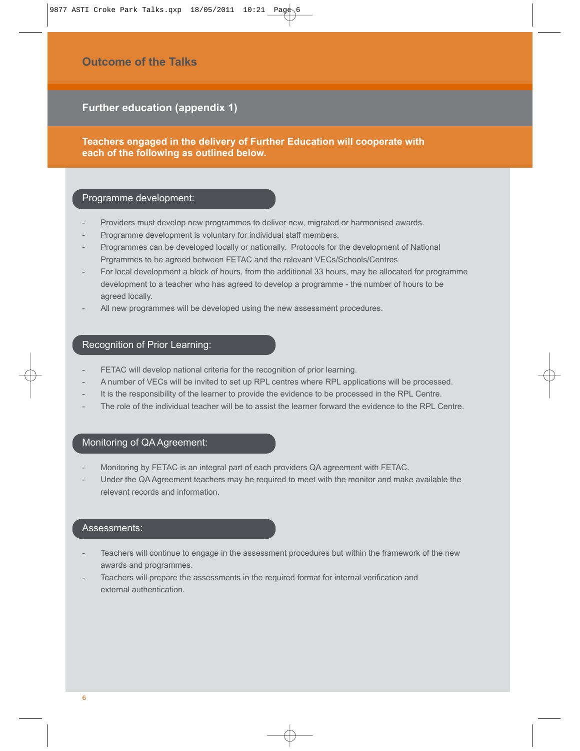**Further education (appendix 1)**

**Teachers engaged in the delivery of Further Education will cooperate with each of the following as outlined below.**

### Programme development:

- Providers must develop new programmes to deliver new, migrated or harmonised awards.
- Programme development is voluntary for individual staff members.
- Programmes can be developed locally or nationally. Protocols for the development of National Prgrammes to be agreed between FETAC and the relevant VECs/Schools/Centres
- For local development a block of hours, from the additional 33 hours, may be allocated for programme development to a teacher who has agreed to develop a programme - the number of hours to be agreed locally.
- All new programmes will be developed using the new assessment procedures.

# Recognition of Prior Learning:

- FETAC will develop national criteria for the recognition of prior learning.
- A number of VECs will be invited to set up RPL centres where RPL applications will be processed.
- It is the responsibility of the learner to provide the evidence to be processed in the RPL Centre.
- The role of the individual teacher will be to assist the learner forward the evidence to the RPL Centre.

### Monitoring of QA Agreement:

- Monitoring by FETAC is an integral part of each providers QA agreement with FETAC.
- Under the QA Agreement teachers may be required to meet with the monitor and make available the relevant records and information.

#### Assessments:

- Teachers will continue to engage in the assessment procedures but within the framework of the new awards and programmes.
- Teachers will prepare the assessments in the required format for internal verification and external authentication.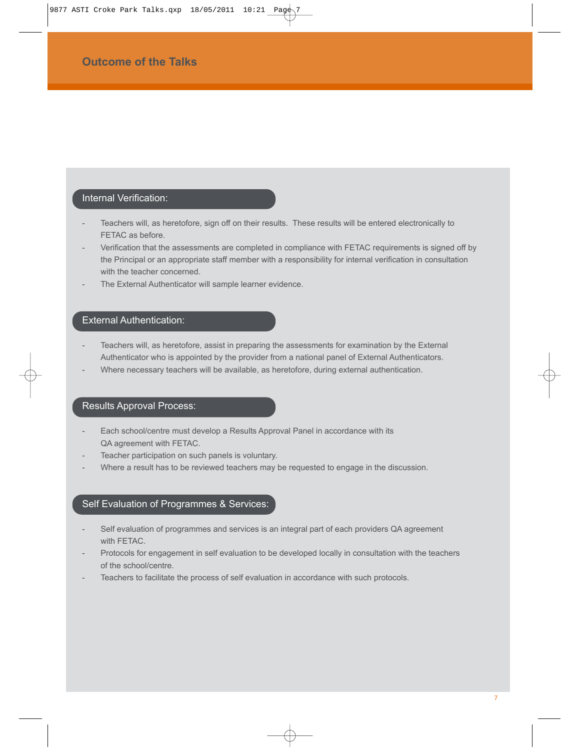# Internal Verification:

- Teachers will, as heretofore, sign off on their results. These results will be entered electronically to FETAC as before.
- Verification that the assessments are completed in compliance with FETAC requirements is signed off by the Principal or an appropriate staff member with a responsibility for internal verification in consultation with the teacher concerned.
- The External Authenticator will sample learner evidence.

### External Authentication:

- Teachers will, as heretofore, assist in preparing the assessments for examination by the External Authenticator who is appointed by the provider from a national panel of External Authenticators.
- Where necessary teachers will be available, as heretofore, during external authentication.

## Results Approval Process:

- Each school/centre must develop a Results Approval Panel in accordance with its QA agreement with FETAC.
- Teacher participation on such panels is voluntary.
- Where a result has to be reviewed teachers may be requested to engage in the discussion.

### Self Evaluation of Programmes & Services:

- Self evaluation of programmes and services is an integral part of each providers QA agreement with FETAC.
- Protocols for engagement in self evaluation to be developed locally in consultation with the teachers of the school/centre.
- Teachers to facilitate the process of self evaluation in accordance with such protocols.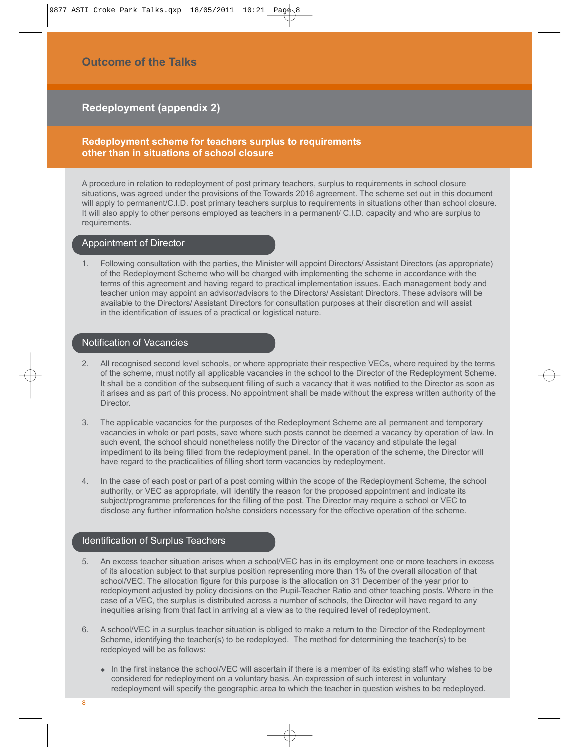9877 ASTI Croke Park Talks.qxp 18/05/2011 10:21 Page

# **Outcome of the Talks**

# **Redeployment (appendix 2)**

### **Redeployment scheme for teachers surplus to requirements other than in situations of school closure**

A procedure in relation to redeployment of post primary teachers, surplus to requirements in school closure situations, was agreed under the provisions of the Towards 2016 agreement. The scheme set out in this document will apply to permanent/C.I.D. post primary teachers surplus to requirements in situations other than school closure. It will also apply to other persons employed as teachers in a permanent/ C.I.D. capacity and who are surplus to requirements.

#### Appointment of Director

1. Following consultation with the parties, the Minister will appoint Directors/ Assistant Directors (as appropriate) of the Redeployment Scheme who will be charged with implementing the scheme in accordance with the terms of this agreement and having regard to practical implementation issues. Each management body and teacher union may appoint an advisor/advisors to the Directors/ Assistant Directors. These advisors will be available to the Directors/ Assistant Directors for consultation purposes at their discretion and will assist in the identification of issues of a practical or logistical nature.

#### Notification of Vacancies

- 2. All recognised second level schools, or where appropriate their respective VECs, where required by the terms of the scheme, must notify all applicable vacancies in the school to the Director of the Redeployment Scheme. It shall be a condition of the subsequent filling of such a vacancy that it was notified to the Director as soon as it arises and as part of this process. No appointment shall be made without the express written authority of the Director.
- 3. The applicable vacancies for the purposes of the Redeployment Scheme are all permanent and temporary vacancies in whole or part posts, save where such posts cannot be deemed a vacancy by operation of law. In such event, the school should nonetheless notify the Director of the vacancy and stipulate the legal impediment to its being filled from the redeployment panel. In the operation of the scheme, the Director will have regard to the practicalities of filling short term vacancies by redeployment.
- 4. In the case of each post or part of a post coming within the scope of the Redeployment Scheme, the school authority, or VEC as appropriate, will identify the reason for the proposed appointment and indicate its subject/programme preferences for the filling of the post. The Director may require a school or VEC to disclose any further information he/she considers necessary for the effective operation of the scheme.

#### Identification of Surplus Teachers

- 5. An excess teacher situation arises when a school/VEC has in its employment one or more teachers in excess of its allocation subject to that surplus position representing more than 1% of the overall allocation of that school/VEC. The allocation figure for this purpose is the allocation on 31 December of the year prior to redeployment adjusted by policy decisions on the Pupil-Teacher Ratio and other teaching posts. Where in the case of a VEC, the surplus is distributed across a number of schools, the Director will have regard to any inequities arising from that fact in arriving at a view as to the required level of redeployment.
- 6. A school/VEC in a surplus teacher situation is obliged to make a return to the Director of the Redeployment Scheme, identifying the teacher(s) to be redeployed. The method for determining the teacher(s) to be redeployed will be as follows:
	- In the first instance the school/VEC will ascertain if there is a member of its existing staff who wishes to be considered for redeployment on a voluntary basis. An expression of such interest in voluntary redeployment will specify the geographic area to which the teacher in question wishes to be redeployed.

8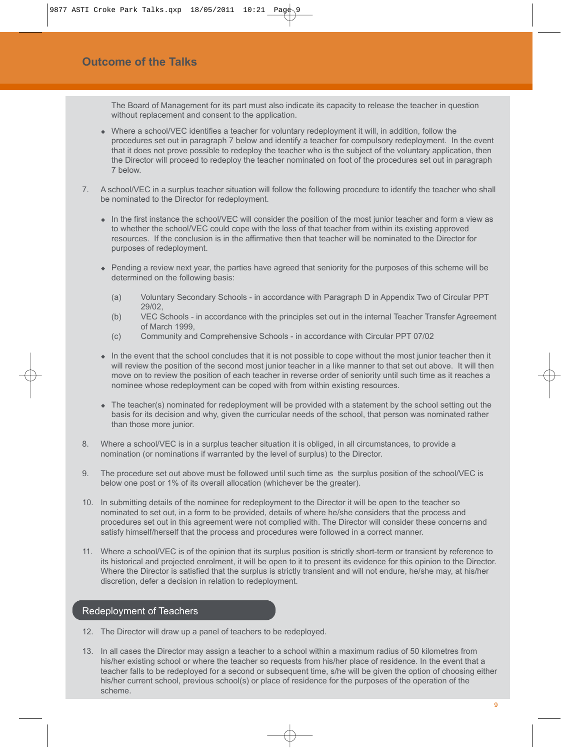The Board of Management for its part must also indicate its capacity to release the teacher in question without replacement and consent to the application.

- Where a school/VEC identifies a teacher for voluntary redeployment it will, in addition, follow the procedures set out in paragraph 7 below and identify a teacher for compulsory redeployment. In the event that it does not prove possible to redeploy the teacher who is the subject of the voluntary application, then the Director will proceed to redeploy the teacher nominated on foot of the procedures set out in paragraph 7 below.
- 7. A school/VEC in a surplus teacher situation will follow the following procedure to identify the teacher who shall be nominated to the Director for redeployment.
	- In the first instance the school/VEC will consider the position of the most junior teacher and form a view as to whether the school/VEC could cope with the loss of that teacher from within its existing approved resources. If the conclusion is in the affirmative then that teacher will be nominated to the Director for purposes of redeployment.
	- Pending a review next year, the parties have agreed that seniority for the purposes of this scheme will be determined on the following basis:
		- (a) Voluntary Secondary Schools in accordance with Paragraph D in Appendix Two of Circular PPT 29/02,
		- (b) VEC Schools in accordance with the principles set out in the internal Teacher Transfer Agreement of March 1999,
		- (c) Community and Comprehensive Schools in accordance with Circular PPT 07/02
	- In the event that the school concludes that it is not possible to cope without the most junior teacher then it will review the position of the second most junior teacher in a like manner to that set out above. It will then move on to review the position of each teacher in reverse order of seniority until such time as it reaches a nominee whose redeployment can be coped with from within existing resources.
	- The teacher(s) nominated for redeployment will be provided with a statement by the school setting out the basis for its decision and why, given the curricular needs of the school, that person was nominated rather than those more junior.
- 8. Where a school/VEC is in a surplus teacher situation it is obliged, in all circumstances, to provide a nomination (or nominations if warranted by the level of surplus) to the Director.
- 9. The procedure set out above must be followed until such time as the surplus position of the school/VEC is below one post or 1% of its overall allocation (whichever be the greater).
- 10. In submitting details of the nominee for redeployment to the Director it will be open to the teacher so nominated to set out, in a form to be provided, details of where he/she considers that the process and procedures set out in this agreement were not complied with. The Director will consider these concerns and satisfy himself/herself that the process and procedures were followed in a correct manner.
- 11. Where a school/VEC is of the opinion that its surplus position is strictly short-term or transient by reference to its historical and projected enrolment, it will be open to it to present its evidence for this opinion to the Director. Where the Director is satisfied that the surplus is strictly transient and will not endure, he/she may, at his/her discretion, defer a decision in relation to redeployment.

#### Redeployment of Teachers

- 12. The Director will draw up a panel of teachers to be redeployed.
- 13. In all cases the Director may assign a teacher to a school within a maximum radius of 50 kilometres from his/her existing school or where the teacher so requests from his/her place of residence. In the event that a teacher falls to be redeployed for a second or subsequent time, s/he will be given the option of choosing either his/her current school, previous school(s) or place of residence for the purposes of the operation of the scheme.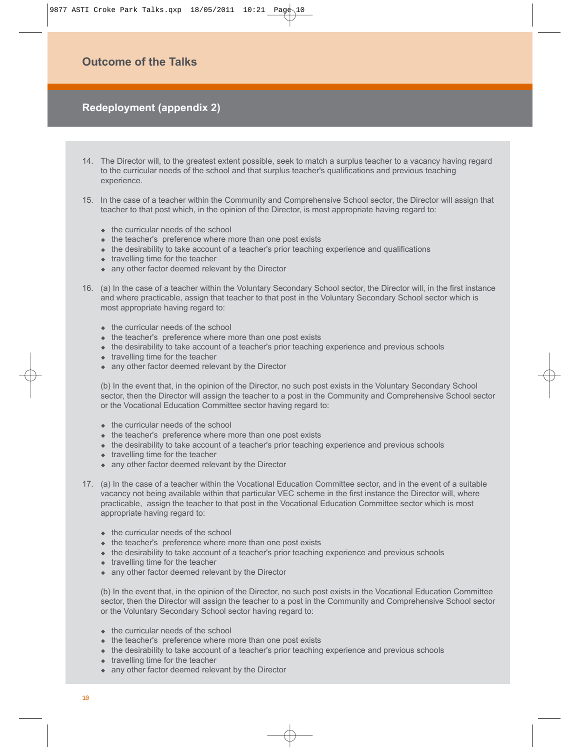9877 ASTI Croke Park Talks.qxp 18/05/2011 10:21 Page

# **Outcome of the Talks**

# **Redeployment (appendix 2)**

- 14. The Director will, to the greatest extent possible, seek to match a surplus teacher to a vacancy having regard to the curricular needs of the school and that surplus teacher's qualifications and previous teaching experience.
- 15. In the case of a teacher within the Community and Comprehensive School sector, the Director will assign that teacher to that post which, in the opinion of the Director, is most appropriate having regard to:
	- $\bullet$  the curricular needs of the school
	- $\bullet$  the teacher's preference where more than one post exists
	- the desirability to take account of a teacher's prior teaching experience and qualifications
	- $\bullet$  travelling time for the teacher
	- any other factor deemed relevant by the Director
- 16. (a) In the case of a teacher within the Voluntary Secondary School sector, the Director will, in the first instance and where practicable, assign that teacher to that post in the Voluntary Secondary School sector which is most appropriate having regard to:
	- $\bullet$  the curricular needs of the school
	- $\bullet$  the teacher's preference where more than one post exists
	- the desirability to take account of a teacher's prior teaching experience and previous schools
	- $\bullet$  travelling time for the teacher
	- any other factor deemed relevant by the Director

(b) In the event that, in the opinion of the Director, no such post exists in the Voluntary Secondary School sector, then the Director will assign the teacher to a post in the Community and Comprehensive School sector or the Vocational Education Committee sector having regard to:

- $\bullet$  the curricular needs of the school
- $\bullet$  the teacher's preference where more than one post exists
- the desirability to take account of a teacher's prior teaching experience and previous schools
- $\bullet$  travelling time for the teacher
- any other factor deemed relevant by the Director
- 17. (a) In the case of a teacher within the Vocational Education Committee sector, and in the event of a suitable vacancy not being available within that particular VEC scheme in the first instance the Director will, where practicable, assign the teacher to that post in the Vocational Education Committee sector which is most appropriate having regard to:
	- $\bullet$  the curricular needs of the school
	- the teacher's preference where more than one post exists
	- the desirability to take account of a teacher's prior teaching experience and previous schools
	- travelling time for the teacher
	- any other factor deemed relevant by the Director

(b) In the event that, in the opinion of the Director, no such post exists in the Vocational Education Committee sector, then the Director will assign the teacher to a post in the Community and Comprehensive School sector or the Voluntary Secondary School sector having regard to:

- $\triangleleft$  the curricular needs of the school
- $\bullet$  the teacher's preference where more than one post exists
- the desirability to take account of a teacher's prior teaching experience and previous schools
- travelling time for the teacher
- any other factor deemed relevant by the Director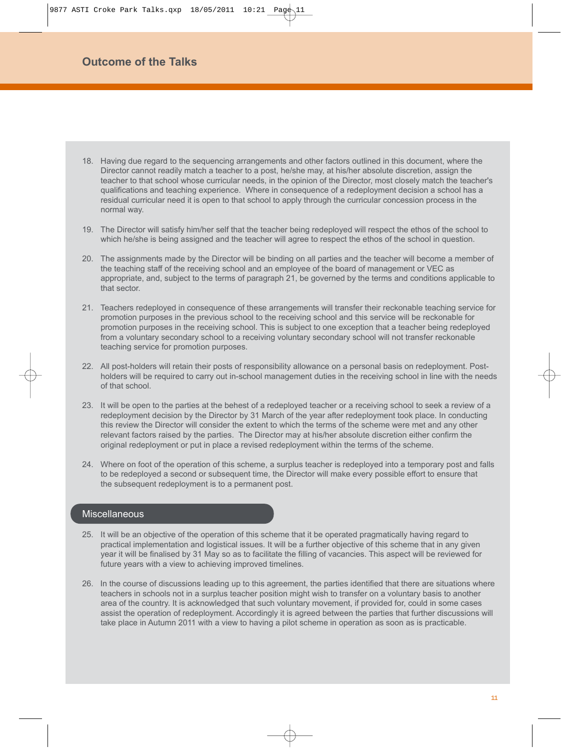- 18. Having due regard to the sequencing arrangements and other factors outlined in this document, where the Director cannot readily match a teacher to a post, he/she may, at his/her absolute discretion, assign the teacher to that school whose curricular needs, in the opinion of the Director, most closely match the teacher's qualifications and teaching experience. Where in consequence of a redeployment decision a school has a residual curricular need it is open to that school to apply through the curricular concession process in the normal way.
- 19. The Director will satisfy him/her self that the teacher being redeployed will respect the ethos of the school to which he/she is being assigned and the teacher will agree to respect the ethos of the school in question.
- 20. The assignments made by the Director will be binding on all parties and the teacher will become a member of the teaching staff of the receiving school and an employee of the board of management or VEC as appropriate, and, subject to the terms of paragraph 21, be governed by the terms and conditions applicable to that sector.
- 21. Teachers redeployed in consequence of these arrangements will transfer their reckonable teaching service for promotion purposes in the previous school to the receiving school and this service will be reckonable for promotion purposes in the receiving school. This is subject to one exception that a teacher being redeployed from a voluntary secondary school to a receiving voluntary secondary school will not transfer reckonable teaching service for promotion purposes.
- 22. All post-holders will retain their posts of responsibility allowance on a personal basis on redeployment. Postholders will be required to carry out in-school management duties in the receiving school in line with the needs of that school.
- 23. It will be open to the parties at the behest of a redeployed teacher or a receiving school to seek a review of a redeployment decision by the Director by 31 March of the year after redeployment took place. In conducting this review the Director will consider the extent to which the terms of the scheme were met and any other relevant factors raised by the parties. The Director may at his/her absolute discretion either confirm the original redeployment or put in place a revised redeployment within the terms of the scheme.
- 24. Where on foot of the operation of this scheme, a surplus teacher is redeployed into a temporary post and falls to be redeployed a second or subsequent time, the Director will make every possible effort to ensure that the subsequent redeployment is to a permanent post.

### **Miscellaneous**

- 25. It will be an objective of the operation of this scheme that it be operated pragmatically having regard to practical implementation and logistical issues. It will be a further objective of this scheme that in any given year it will be finalised by 31 May so as to facilitate the filling of vacancies. This aspect will be reviewed for future years with a view to achieving improved timelines.
- 26. In the course of discussions leading up to this agreement, the parties identified that there are situations where teachers in schools not in a surplus teacher position might wish to transfer on a voluntary basis to another area of the country. It is acknowledged that such voluntary movement, if provided for, could in some cases assist the operation of redeployment. Accordingly it is agreed between the parties that further discussions will take place in Autumn 2011 with a view to having a pilot scheme in operation as soon as is practicable.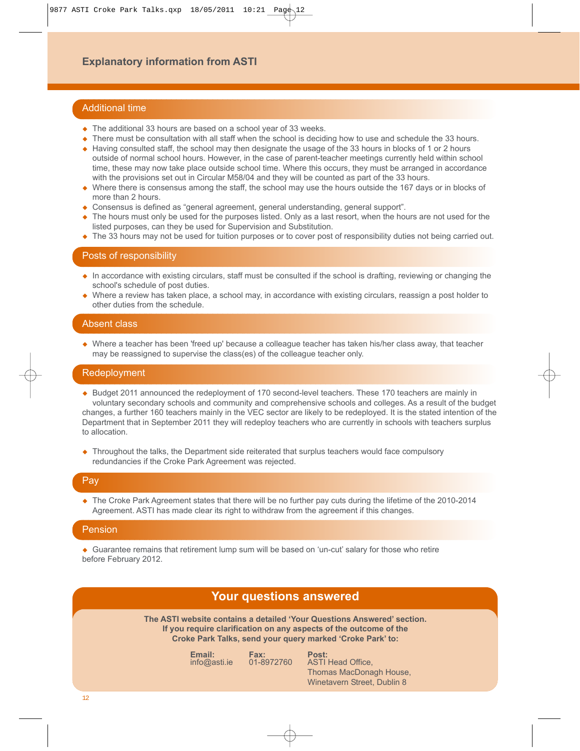# **Explanatory information from ASTI**

#### Additional time

- The additional 33 hours are based on a school year of 33 weeks.
- There must be consultation with all staff when the school is deciding how to use and schedule the 33 hours.
- Having consulted staff, the school may then designate the usage of the 33 hours in blocks of 1 or 2 hours outside of normal school hours. However, in the case of parent-teacher meetings currently held within school time, these may now take place outside school time. Where this occurs, they must be arranged in accordance with the provisions set out in Circular M58/04 and they will be counted as part of the 33 hours.
- Where there is consensus among the staff, the school may use the hours outside the 167 days or in blocks of more than 2 hours.
- Consensus is defined as "general agreement, general understanding, general support".
- The hours must only be used for the purposes listed. Only as a last resort, when the hours are not used for the listed purposes, can they be used for Supervision and Substitution.
- The 33 hours may not be used for tuition purposes or to cover post of responsibility duties not being carried out.

#### Posts of responsibility

- In accordance with existing circulars, staff must be consulted if the school is drafting, reviewing or changing the school's schedule of post duties.
- Where a review has taken place, a school may, in accordance with existing circulars, reassign a post holder to other duties from the schedule.

### Absent class

 Where a teacher has been 'freed up' because a colleague teacher has taken his/her class away, that teacher may be reassigned to supervise the class(es) of the colleague teacher only.

#### Redeployment

- Budget 2011 announced the redeployment of 170 second-level teachers. These 170 teachers are mainly in voluntary secondary schools and community and comprehensive schools and colleges. As a result of the budget changes, a further 160 teachers mainly in the VEC sector are likely to be redeployed. It is the stated intention of the Department that in September 2011 they will redeploy teachers who are currently in schools with teachers surplus to allocation.
- Throughout the talks, the Department side reiterated that surplus teachers would face compulsory redundancies if the Croke Park Agreement was rejected.

### Pay

• The Croke Park Agreement states that there will be no further pay cuts during the lifetime of the 2010-2014 Agreement. ASTI has made clear its right to withdraw from the agreement if this changes.

#### Pension

 Guarantee remains that retirement lump sum will be based on 'un-cut' salary for those who retire before February 2012.

# **Your questions answered**

**The ASTI website contains a detailed 'Your Questions Answered' section. If you require clarification on any aspects of the outcome of the Croke Park Talks, send your query marked 'Croke Park' to:**

|  | Email:<br>info@asti.e | Fax:<br>01-8972760 | Post:<br><b>ASTI Head Office.</b> |
|--|-----------------------|--------------------|-----------------------------------|
|  |                       |                    | Thomas MacDonagh House,           |
|  |                       |                    | Winetavern Street, Dublin 8       |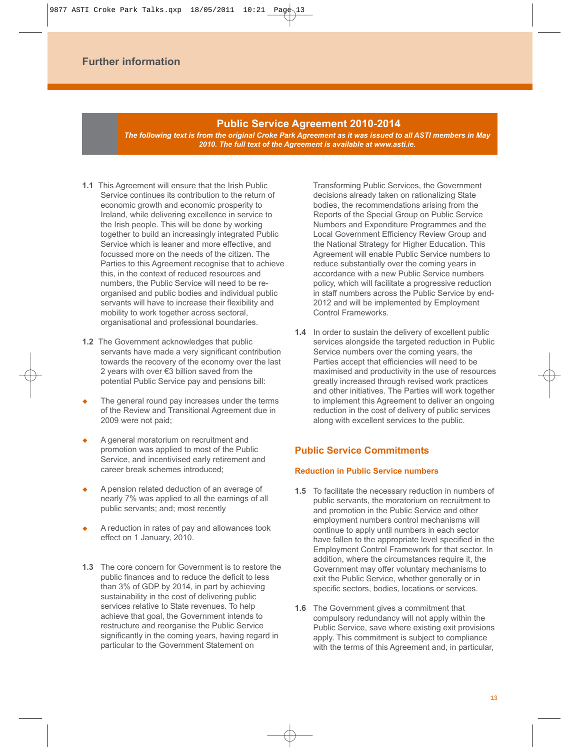#### **Public Service Agreement 2010-2014**

*The following text is from the original Croke Park Agreement as it was issued to all ASTI members in May 2010. The full text of the Agreement is available at www.asti.ie.* 

- **1.1** This Agreement will ensure that the Irish Public Service continues its contribution to the return of economic growth and economic prosperity to Ireland, while delivering excellence in service to the Irish people. This will be done by working together to build an increasingly integrated Public Service which is leaner and more effective, and focussed more on the needs of the citizen. The Parties to this Agreement recognise that to achieve this, in the context of reduced resources and numbers, the Public Service will need to be reorganised and public bodies and individual public servants will have to increase their flexibility and mobility to work together across sectoral, organisational and professional boundaries.
- **1.2** The Government acknowledges that public servants have made a very significant contribution towards the recovery of the economy over the last 2 years with over €3 billion saved from the potential Public Service pay and pensions bill:
- The general round pay increases under the terms of the Review and Transitional Agreement due in 2009 were not paid;
- A general moratorium on recruitment and promotion was applied to most of the Public Service, and incentivised early retirement and career break schemes introduced;
- A pension related deduction of an average of nearly 7% was applied to all the earnings of all public servants; and; most recently
- A reduction in rates of pay and allowances took effect on 1 January, 2010.
- **1.3** The core concern for Government is to restore the public finances and to reduce the deficit to less than 3% of GDP by 2014, in part by achieving sustainability in the cost of delivering public services relative to State revenues. To help achieve that goal, the Government intends to restructure and reorganise the Public Service significantly in the coming years, having regard in particular to the Government Statement on

Transforming Public Services, the Government decisions already taken on rationalizing State bodies, the recommendations arising from the Reports of the Special Group on Public Service Numbers and Expenditure Programmes and the Local Government Efficiency Review Group and the National Strategy for Higher Education. This Agreement will enable Public Service numbers to reduce substantially over the coming years in accordance with a new Public Service numbers policy, which will facilitate a progressive reduction in staff numbers across the Public Service by end-2012 and will be implemented by Employment Control Frameworks.

**1.4** In order to sustain the delivery of excellent public services alongside the targeted reduction in Public Service numbers over the coming years, the Parties accept that efficiencies will need to be maximised and productivity in the use of resources greatly increased through revised work practices and other initiatives. The Parties will work together to implement this Agreement to deliver an ongoing reduction in the cost of delivery of public services along with excellent services to the public.

### **Public Service Commitments**

#### **Reduction in Public Service numbers**

- **1.5** To facilitate the necessary reduction in numbers of public servants, the moratorium on recruitment to and promotion in the Public Service and other employment numbers control mechanisms will continue to apply until numbers in each sector have fallen to the appropriate level specified in the Employment Control Framework for that sector. In addition, where the circumstances require it, the Government may offer voluntary mechanisms to exit the Public Service, whether generally or in specific sectors, bodies, locations or services.
- **1.6** The Government gives a commitment that compulsory redundancy will not apply within the Public Service, save where existing exit provisions apply. This commitment is subject to compliance with the terms of this Agreement and, in particular,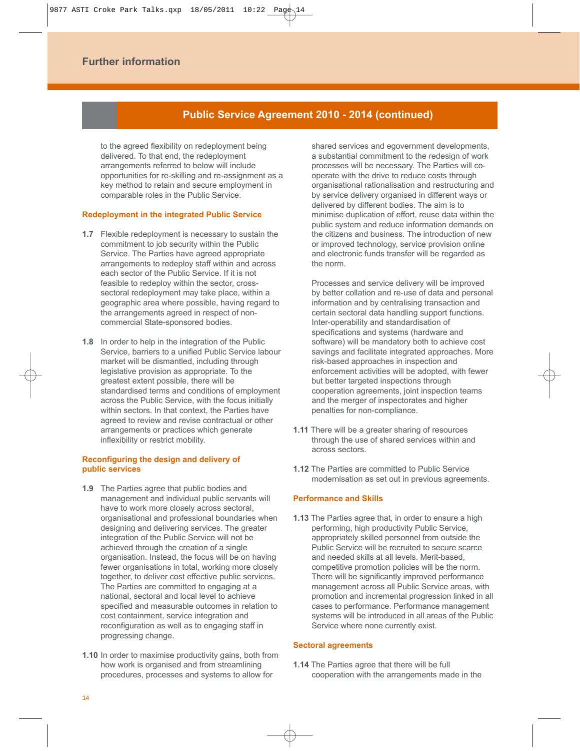### **Public Service Agreement 2010 - 2014 (continued)**

to the agreed flexibility on redeployment being delivered. To that end, the redeployment arrangements referred to below will include opportunities for re-skilling and re-assignment as a key method to retain and secure employment in comparable roles in the Public Service.

#### **Redeployment in the integrated Public Service**

- **1.7** Flexible redeployment is necessary to sustain the commitment to job security within the Public Service. The Parties have agreed appropriate arrangements to redeploy staff within and across each sector of the Public Service. If it is not feasible to redeploy within the sector, crosssectoral redeployment may take place, within a geographic area where possible, having regard to the arrangements agreed in respect of noncommercial State-sponsored bodies.
- **1.8** In order to help in the integration of the Public Service, barriers to a unified Public Service labour market will be dismantled, including through legislative provision as appropriate. To the greatest extent possible, there will be standardised terms and conditions of employment across the Public Service, with the focus initially within sectors. In that context, the Parties have agreed to review and revise contractual or other arrangements or practices which generate inflexibility or restrict mobility.

#### **Reconfiguring the design and delivery of public services**

- **1.9** The Parties agree that public bodies and management and individual public servants will have to work more closely across sectoral, organisational and professional boundaries when designing and delivering services. The greater integration of the Public Service will not be achieved through the creation of a single organisation. Instead, the focus will be on having fewer organisations in total, working more closely together, to deliver cost effective public services. The Parties are committed to engaging at a national, sectoral and local level to achieve specified and measurable outcomes in relation to cost containment, service integration and reconfiguration as well as to engaging staff in progressing change.
- **1.10** In order to maximise productivity gains, both from how work is organised and from streamlining procedures, processes and systems to allow for

shared services and egovernment developments, a substantial commitment to the redesign of work processes will be necessary. The Parties will cooperate with the drive to reduce costs through organisational rationalisation and restructuring and by service delivery organised in different ways or delivered by different bodies. The aim is to minimise duplication of effort, reuse data within the public system and reduce information demands on the citizens and business. The introduction of new or improved technology, service provision online and electronic funds transfer will be regarded as the norm.

Processes and service delivery will be improved by better collation and re-use of data and personal information and by centralising transaction and certain sectoral data handling support functions. Inter-operability and standardisation of specifications and systems (hardware and software) will be mandatory both to achieve cost savings and facilitate integrated approaches. More risk-based approaches in inspection and enforcement activities will be adopted, with fewer but better targeted inspections through cooperation agreements, joint inspection teams and the merger of inspectorates and higher penalties for non-compliance.

- **1.11** There will be a greater sharing of resources through the use of shared services within and across sectors.
- **1.12** The Parties are committed to Public Service modernisation as set out in previous agreements.

#### **Performance and Skills**

**1.13** The Parties agree that, in order to ensure a high performing, high productivity Public Service, appropriately skilled personnel from outside the Public Service will be recruited to secure scarce and needed skills at all levels. Merit-based, competitive promotion policies will be the norm. There will be significantly improved performance management across all Public Service areas, with promotion and incremental progression linked in all cases to performance. Performance management systems will be introduced in all areas of the Public Service where none currently exist.

#### **Sectoral agreements**

**1.14** The Parties agree that there will be full cooperation with the arrangements made in the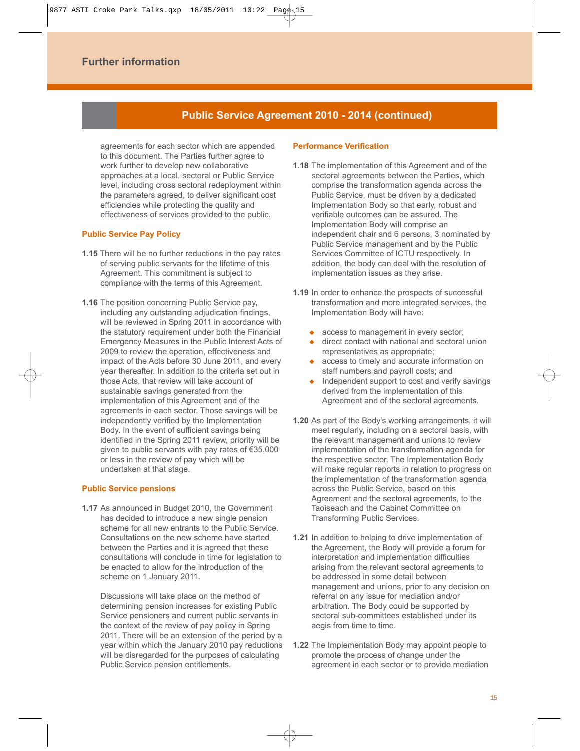## **Public Service Agreement 2010 - 2014 (continued)**

agreements for each sector which are appended to this document. The Parties further agree to work further to develop new collaborative approaches at a local, sectoral or Public Service level, including cross sectoral redeployment within the parameters agreed, to deliver significant cost efficiencies while protecting the quality and effectiveness of services provided to the public.

#### **Public Service Pay Policy**

- **1.15** There will be no further reductions in the pay rates of serving public servants for the lifetime of this Agreement. This commitment is subject to compliance with the terms of this Agreement.
- **1.16** The position concerning Public Service pay, including any outstanding adjudication findings, will be reviewed in Spring 2011 in accordance with the statutory requirement under both the Financial Emergency Measures in the Public Interest Acts of 2009 to review the operation, effectiveness and impact of the Acts before 30 June 2011, and every year thereafter. In addition to the criteria set out in those Acts, that review will take account of sustainable savings generated from the implementation of this Agreement and of the agreements in each sector. Those savings will be independently verified by the Implementation Body. In the event of sufficient savings being identified in the Spring 2011 review, priority will be given to public servants with pay rates of €35,000 or less in the review of pay which will be undertaken at that stage.

#### **Public Service pensions**

**1.17** As announced in Budget 2010, the Government has decided to introduce a new single pension scheme for all new entrants to the Public Service. Consultations on the new scheme have started between the Parties and it is agreed that these consultations will conclude in time for legislation to be enacted to allow for the introduction of the scheme on 1 January 2011.

Discussions will take place on the method of determining pension increases for existing Public Service pensioners and current public servants in the context of the review of pay policy in Spring 2011. There will be an extension of the period by a year within which the January 2010 pay reductions will be disregarded for the purposes of calculating Public Service pension entitlements.

#### **Performance Verification**

- **1.18** The implementation of this Agreement and of the sectoral agreements between the Parties, which comprise the transformation agenda across the Public Service, must be driven by a dedicated Implementation Body so that early, robust and verifiable outcomes can be assured. The Implementation Body will comprise an independent chair and 6 persons, 3 nominated by Public Service management and by the Public Services Committee of ICTU respectively. In addition, the body can deal with the resolution of implementation issues as they arise.
- **1.19** In order to enhance the prospects of successful transformation and more integrated services, the Implementation Body will have:
	- access to management in every sector;
	- direct contact with national and sectoral union representatives as appropriate;
	- access to timely and accurate information on staff numbers and payroll costs; and
	- Independent support to cost and verify savings derived from the implementation of this Agreement and of the sectoral agreements.
- **1.20** As part of the Body's working arrangements, it will meet regularly, including on a sectoral basis, with the relevant management and unions to review implementation of the transformation agenda for the respective sector. The Implementation Body will make regular reports in relation to progress on the implementation of the transformation agenda across the Public Service, based on this Agreement and the sectoral agreements, to the Taoiseach and the Cabinet Committee on Transforming Public Services.
- **1.21** In addition to helping to drive implementation of the Agreement, the Body will provide a forum for interpretation and implementation difficulties arising from the relevant sectoral agreements to be addressed in some detail between management and unions, prior to any decision on referral on any issue for mediation and/or arbitration. The Body could be supported by sectoral sub-committees established under its aegis from time to time.
- **1.22** The Implementation Body may appoint people to promote the process of change under the agreement in each sector or to provide mediation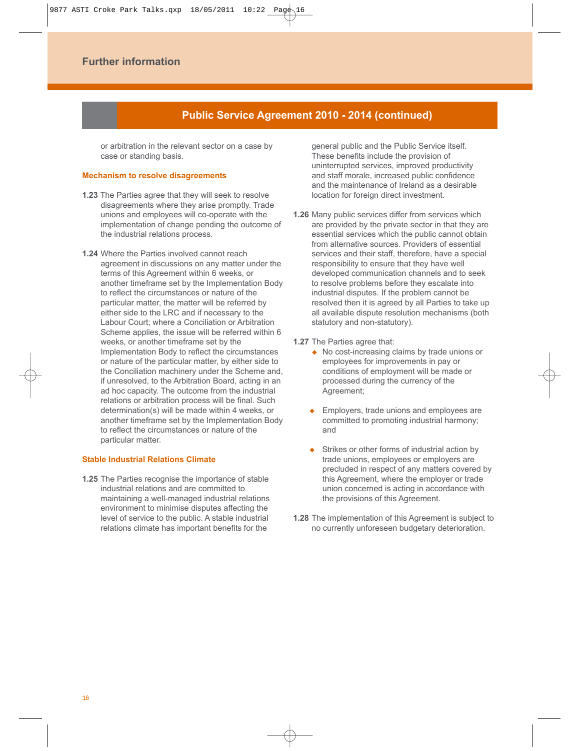### **Public Service Agreement 2010 - 2014 (continued)**

or arbitration in the relevant sector on a case by case or standing basis.

#### **Mechanism to resolve disagreements**

- **1.23** The Parties agree that they will seek to resolve disagreements where they arise promptly. Trade unions and employees will co-operate with the implementation of change pending the outcome of the industrial relations process.
- **1.24** Where the Parties involved cannot reach agreement in discussions on any matter under the terms of this Agreement within 6 weeks, or another timeframe set by the Implementation Body to reflect the circumstances or nature of the particular matter, the matter will be referred by either side to the LRC and if necessary to the Labour Court; where a Conciliation or Arbitration Scheme applies, the issue will be referred within 6 weeks, or another timeframe set by the Implementation Body to reflect the circumstances or nature of the particular matter, by either side to the Conciliation machinery under the Scheme and, if unresolved, to the Arbitration Board, acting in an ad hoc capacity. The outcome from the industrial relations or arbitration process will be final. Such determination(s) will be made within 4 weeks, or another timeframe set by the Implementation Body to reflect the circumstances or nature of the particular matter.

#### **Stable Industrial Relations Climate**

**1.25** The Parties recognise the importance of stable industrial relations and are committed to maintaining a well-managed industrial relations environment to minimise disputes affecting the level of service to the public. A stable industrial relations climate has important benefits for the

general public and the Public Service itself. These benefits include the provision of uninterrupted services, improved productivity and staff morale, increased public confidence and the maintenance of Ireland as a desirable location for foreign direct investment.

- **1.26** Many public services differ from services which are provided by the private sector in that they are essential services which the public cannot obtain from alternative sources. Providers of essential services and their staff, therefore, have a special responsibility to ensure that they have well developed communication channels and to seek to resolve problems before they escalate into industrial disputes. If the problem cannot be resolved then it is agreed by all Parties to take up all available dispute resolution mechanisms (both statutory and non-statutory).
- **1.27** The Parties agree that:
	- ◆ No cost-increasing claims by trade unions or employees for improvements in pay or conditions of employment will be made or processed during the currency of the Agreement;
	- Employers, trade unions and employees are committed to promoting industrial harmony; and
	- Strikes or other forms of industrial action by trade unions, employees or employers are precluded in respect of any matters covered by this Agreement, where the employer or trade union concerned is acting in accordance with the provisions of this Agreement.
- **1.28** The implementation of this Agreement is subject to no currently unforeseen budgetary deterioration.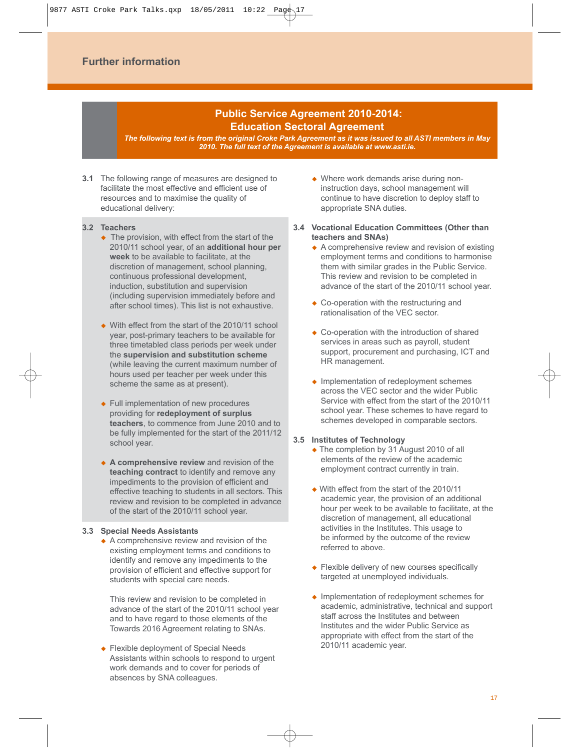## **Public Service Agreement 2010-2014: Education Sectoral Agreement**

*The following text is from the original Croke Park Agreement as it was issued to all ASTI members in May 2010. The full text of the Agreement is available at www.asti.ie.* 

- **3.1** The following range of measures are designed to facilitate the most effective and efficient use of resources and to maximise the quality of educational delivery:
- **3.2 Teachers**
	- The provision, with effect from the start of the 2010/11 school year, of an **additional hour per week** to be available to facilitate, at the discretion of management, school planning, continuous professional development, induction, substitution and supervision (including supervision immediately before and after school times). This list is not exhaustive.
	- ◆ With effect from the start of the 2010/11 school year, post-primary teachers to be available for three timetabled class periods per week under the **supervision and substitution scheme** (while leaving the current maximum number of hours used per teacher per week under this scheme the same as at present).
	- ◆ Full implementation of new procedures providing for **redeployment of surplus teachers**, to commence from June 2010 and to be fully implemented for the start of the 2011/12 school year.
	- **A comprehensive review** and revision of the **teaching contract** to identify and remove any impediments to the provision of efficient and effective teaching to students in all sectors. This review and revision to be completed in advance of the start of the 2010/11 school year.

#### **3.3 Special Needs Assistants**

 $\triangle$  A comprehensive review and revision of the existing employment terms and conditions to identify and remove any impediments to the provision of efficient and effective support for students with special care needs.

This review and revision to be completed in advance of the start of the 2010/11 school year and to have regard to those elements of the Towards 2016 Agreement relating to SNAs.

◆ Flexible deployment of Special Needs Assistants within schools to respond to urgent work demands and to cover for periods of absences by SNA colleagues.

- Where work demands arise during noninstruction days, school management will continue to have discretion to deploy staff to appropriate SNA duties.
- **3.4 Vocational Education Committees (Other than teachers and SNAs)**
	- $\triangle$  A comprehensive review and revision of existing employment terms and conditions to harmonise them with similar grades in the Public Service. This review and revision to be completed in advance of the start of the 2010/11 school year.
	- ◆ Co-operation with the restructuring and rationalisation of the VEC sector.
	- ◆ Co-operation with the introduction of shared services in areas such as payroll, student support, procurement and purchasing, ICT and HR management.
	- Implementation of redeployment schemes across the VEC sector and the wider Public Service with effect from the start of the 2010/11 school year. These schemes to have regard to schemes developed in comparable sectors.

#### **3.5 Institutes of Technology**

- ◆ The completion by 31 August 2010 of all elements of the review of the academic employment contract currently in train.
- With effect from the start of the 2010/11 academic year, the provision of an additional hour per week to be available to facilitate, at the discretion of management, all educational activities in the Institutes. This usage to be informed by the outcome of the review referred to above.
- ◆ Flexible delivery of new courses specifically targeted at unemployed individuals.
- $\bullet$  Implementation of redeployment schemes for academic, administrative, technical and support staff across the Institutes and between Institutes and the wider Public Service as appropriate with effect from the start of the 2010/11 academic year.